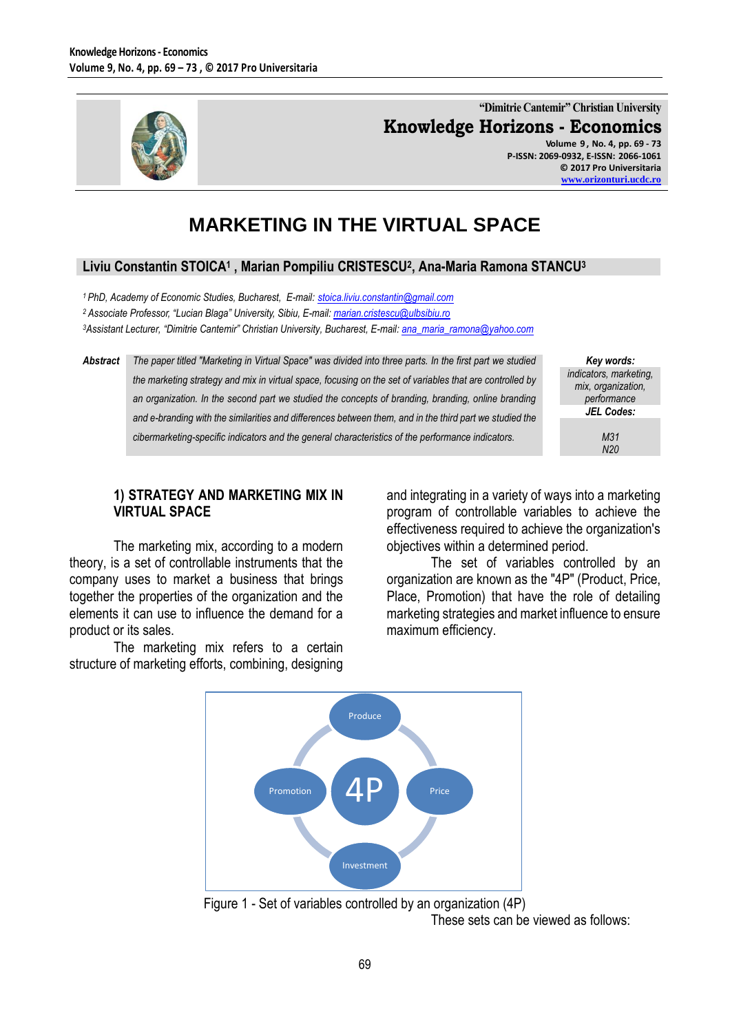

**"Dimitrie Cantemir" Christian University Knowledge Horizons - Economics Volume 9 , No. 4, pp. 69 - 73**

**P-ISSN: 2069-0932, E-ISSN: 2066-1061 © 2017 Pro Universitaria [www.orizonturi.ucdc.ro](http://www.orizonturi.ucdc.ro/)**

# **MARKETING IN THE VIRTUAL SPACE**

## **Liviu Constantin STOICA<sup>1</sup> , Marian Pompiliu CRISTESCU<sup>2</sup> , Ana-Maria Ramona STANCU<sup>3</sup>**

*<sup>1</sup> PhD, Academy of Economic Studies, Bucharest, E-mail: [stoica.liviu.constantin@gmail.com](mailto:stoica.liviu.constantin@gmail.com)  <sup>2</sup> Associate Professor, "Lucian Blaga" University, Sibiu, E-mail: [marian.cristescu@ulbsibiu.ro](mailto:marian.cristescu@ulbsibiu.ro) <sup>3</sup>Assistant Lecturer, "Dimitrie Cantemir" Christian University, Bucharest, E-mail[: ana\\_maria\\_ramona@yahoo.com](mailto:ana_maria_ramona@yahoo.com)*

*Abstract The paper titled "Marketing in Virtual Space" was divided into three parts. In the first part we studied the marketing strategy and mix in virtual space, focusing on the set of variables that are controlled by*  an organization. In the second part we studied the concepts of branding, branding, online branding *and e-branding with the similarities and differences between them, and in the third part we studied the cibermarketing-specific indicators and the general characteristics of the performance indicators.*

*Key words: indicators, marketing, mix, organization, performance JEL Codes: M31*

*N20*

#### **1) STRATEGY AND MARKETING MIX IN VIRTUAL SPACE**

The marketing mix, according to a modern theory, is a set of controllable instruments that the company uses to market a business that brings together the properties of the organization and the elements it can use to influence the demand for a product or its sales.

The marketing mix refers to a certain structure of marketing efforts, combining, designing and integrating in a variety of ways into a marketing program of controllable variables to achieve the effectiveness required to achieve the organization's objectives within a determined period.

The set of variables controlled by an organization are known as the "4P" (Product, Price, Place, Promotion) that have the role of detailing marketing strategies and market influence to ensure maximum efficiency.



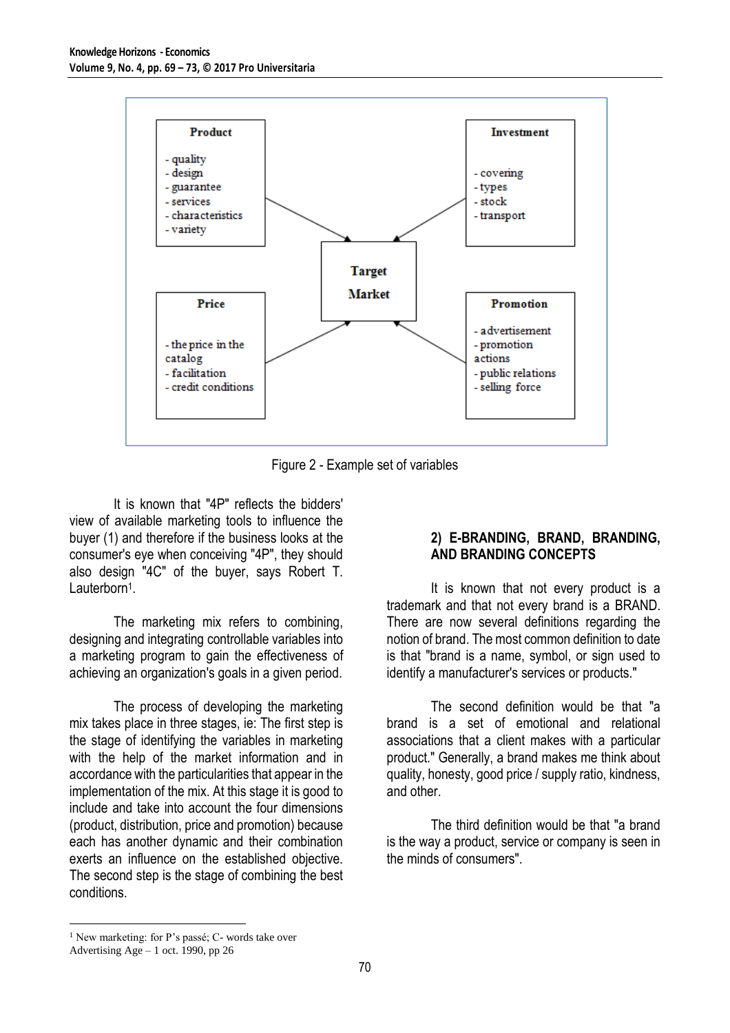

Figure 2 - Example set of variables

It is known that "4P" reflects the bidders' view of available marketing tools to influence the buyer (1) and therefore if the business looks at the consumer's eye when conceiving "4P", they should also design "4C" of the buyer, says Robert T. Lauterborn<sup>1</sup>.

The marketing mix refers to combining, designing and integrating controllable variables into a marketing program to gain the effectiveness of achieving an organization's goals in a given period.

The process of developing the marketing mix takes place in three stages, ie: The first step is the stage of identifying the variables in marketing with the help of the market information and in accordance with the particularities that appear in the implementation of the mix. At this stage it is good to include and take into account the four dimensions (product, distribution, price and promotion) because each has another dynamic and their combination exerts an influence on the established objective. The second step is the stage of combining the best conditions.

#### **2) E-BRANDING, BRAND, BRANDING, AND BRANDING CONCEPTS**

It is known that not every product is a trademark and that not every brand is a BRAND. There are now several definitions regarding the notion of brand. The most common definition to date is that "brand is a name, symbol, or sign used to identify a manufacturer's services or products."

The second definition would be that "a brand is a set of emotional and relational associations that a client makes with a particular product." Generally, a brand makes me think about quality, honesty, good price / supply ratio, kindness, and other.

The third definition would be that "a brand is the way a product, service or company is seen in the minds of consumers".

 $\overline{a}$ 

<sup>&</sup>lt;sup>1</sup> New marketing: for P's passé; C- words take over

Advertising Age – 1 oct. 1990, pp 26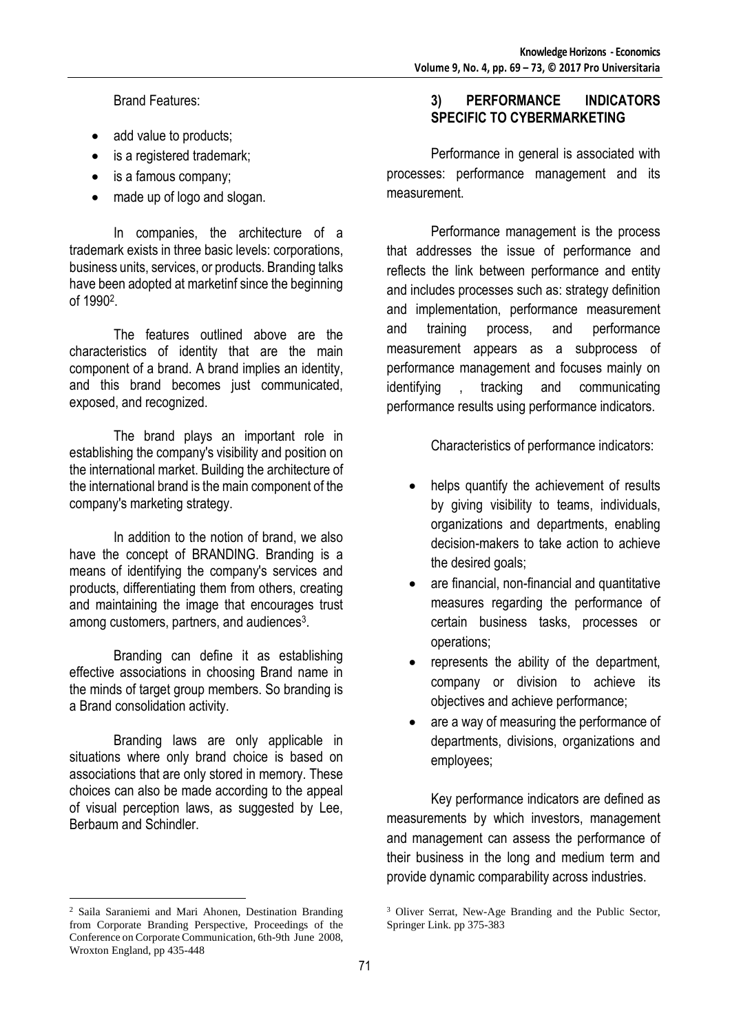Brand Features:

- add value to products;
- is a registered trademark;
- is a famous company;
- made up of logo and slogan.

In companies, the architecture of a trademark exists in three basic levels: corporations, business units, services, or products. Branding talks have been adopted at marketinf since the beginning of 1990<sup>2</sup> .

The features outlined above are the characteristics of identity that are the main component of a brand. A brand implies an identity, and this brand becomes just communicated, exposed, and recognized.

The brand plays an important role in establishing the company's visibility and position on the international market. Building the architecture of the international brand is the main component of the company's marketing strategy.

In addition to the notion of brand, we also have the concept of BRANDING. Branding is a means of identifying the company's services and products, differentiating them from others, creating and maintaining the image that encourages trust among customers, partners, and audiences<sup>3</sup>.

Branding can define it as establishing effective associations in choosing Brand name in the minds of target group members. So branding is a Brand consolidation activity.

Branding laws are only applicable in situations where only brand choice is based on associations that are only stored in memory. These choices can also be made according to the appeal of visual perception laws, as suggested by Lee, Berbaum and Schindler.

 $\overline{a}$ 

## **3) PERFORMANCE INDICATORS SPECIFIC TO CYBERMARKETING**

Performance in general is associated with processes: performance management and its measurement.

Performance management is the process that addresses the issue of performance and reflects the link between performance and entity and includes processes such as: strategy definition and implementation, performance measurement and training process, and performance measurement appears as a subprocess of performance management and focuses mainly on identifying , tracking and communicating performance results using performance indicators.

Characteristics of performance indicators:

- helps quantify the achievement of results by giving visibility to teams, individuals, organizations and departments, enabling decision-makers to take action to achieve the desired goals;
- are financial, non-financial and quantitative measures regarding the performance of certain business tasks, processes or operations;
- represents the ability of the department, company or division to achieve its objectives and achieve performance;
- are a way of measuring the performance of departments, divisions, organizations and employees;

Key performance indicators are defined as measurements by which investors, management and management can assess the performance of their business in the long and medium term and provide dynamic comparability across industries.

<sup>2</sup> Saila Saraniemi and Mari Ahonen, Destination Branding from Corporate Branding Perspective, Proceedings of the Conference on Corporate Communication, 6th-9th June 2008, Wroxton England, pp 435-448

<sup>&</sup>lt;sup>3</sup> Oliver Serrat, New-Age Branding and the Public Sector, Springer Link. pp 375-383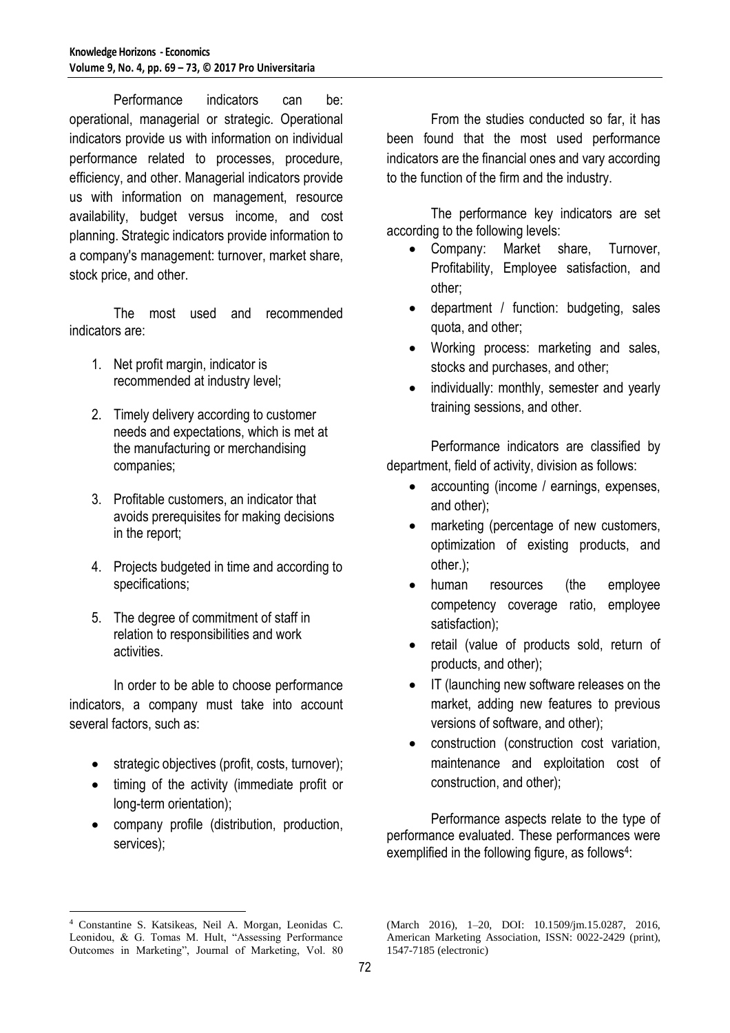Performance indicators can be: operational, managerial or strategic. Operational indicators provide us with information on individual performance related to processes, procedure, efficiency, and other. Managerial indicators provide us with information on management, resource availability, budget versus income, and cost planning. Strategic indicators provide information to a company's management: turnover, market share, stock price, and other.

The most used and recommended indicators are:

- 1. Net profit margin, indicator is recommended at industry level;
- 2. Timely delivery according to customer needs and expectations, which is met at the manufacturing or merchandising companies;
- 3. Profitable customers, an indicator that avoids prerequisites for making decisions in the report;
- 4. Projects budgeted in time and according to specifications;
- 5. The degree of commitment of staff in relation to responsibilities and work activities.

In order to be able to choose performance indicators, a company must take into account several factors, such as:

- strategic objectives (profit, costs, turnover);
- timing of the activity (immediate profit or long-term orientation);
- company profile (distribution, production, services);

From the studies conducted so far, it has been found that the most used performance indicators are the financial ones and vary according to the function of the firm and the industry.

The performance key indicators are set according to the following levels:

- Company: Market share, Turnover, Profitability, Employee satisfaction, and other;
- department / function: budgeting, sales quota, and other;
- Working process: marketing and sales, stocks and purchases, and other;
- individually: monthly, semester and yearly training sessions, and other.

Performance indicators are classified by department, field of activity, division as follows:

- accounting (income / earnings, expenses, and other);
- marketing (percentage of new customers, optimization of existing products, and other.);
- human resources (the employee competency coverage ratio, employee satisfaction);
- retail (value of products sold, return of products, and other);
- IT (launching new software releases on the market, adding new features to previous versions of software, and other);
- construction (construction cost variation, maintenance and exploitation cost of construction, and other);

Performance aspects relate to the type of performance evaluated. These performances were exemplified in the following figure, as follows<sup>4</sup>:

 $\overline{a}$ <sup>4</sup> Constantine S. Katsikeas, Neil A. Morgan, Leonidas C. Leonidou, & G. Tomas M. Hult, "Assessing Performance Outcomes in Marketing", Journal of Marketing, Vol. 80

<sup>(</sup>March 2016), 1–20, DOI: 10.1509/jm.15.0287, 2016, American Marketing Association, ISSN: 0022-2429 (print), 1547-7185 (electronic)